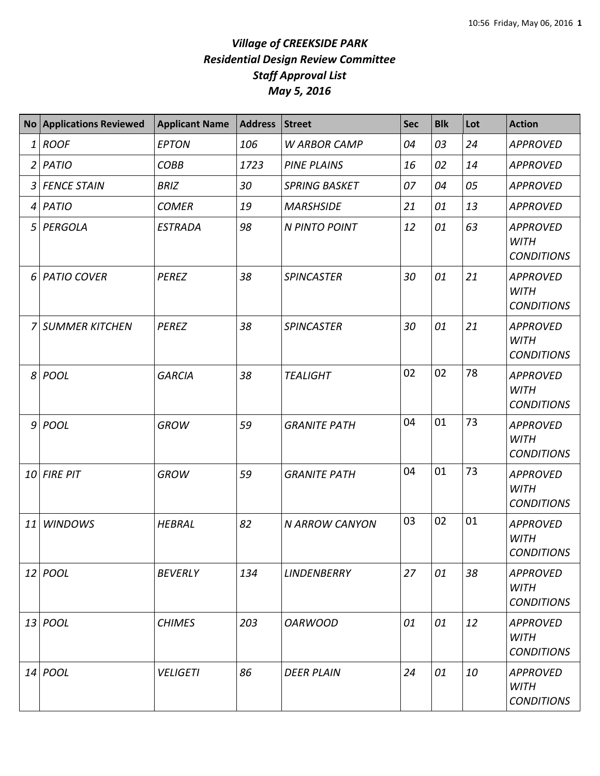|              | No Applications Reviewed | <b>Applicant Name</b> | <b>Address</b> | <b>Street</b>         | <b>Sec</b> | <b>Blk</b> | Lot | <b>Action</b>                                       |
|--------------|--------------------------|-----------------------|----------------|-----------------------|------------|------------|-----|-----------------------------------------------------|
| $\mathbf{1}$ | <b>ROOF</b>              | <b>EPTON</b>          | 106            | <b>W ARBOR CAMP</b>   | 04         | 03         | 24  | <b>APPROVED</b>                                     |
|              | $2$ PATIO                | <b>COBB</b>           | 1723           | <b>PINE PLAINS</b>    | 16         | 02         | 14  | <b>APPROVED</b>                                     |
|              | 3 FENCE STAIN            | <b>BRIZ</b>           | 30             | <b>SPRING BASKET</b>  | 07         | 04         | 05  | <b>APPROVED</b>                                     |
|              | 4 PATIO                  | <b>COMER</b>          | 19             | <b>MARSHSIDE</b>      | 21         | 01         | 13  | <b>APPROVED</b>                                     |
| 5            | PERGOLA                  | <b>ESTRADA</b>        | 98             | N PINTO POINT         | 12         | 01         | 63  | <b>APPROVED</b><br><b>WITH</b><br><b>CONDITIONS</b> |
|              | 6 PATIO COVER            | <b>PEREZ</b>          | 38             | <b>SPINCASTER</b>     | 30         | 01         | 21  | <b>APPROVED</b><br><b>WITH</b><br><b>CONDITIONS</b> |
| 7            | SUMMER KITCHEN           | <b>PEREZ</b>          | 38             | <b>SPINCASTER</b>     | 30         | 01         | 21  | <b>APPROVED</b><br><b>WITH</b><br><b>CONDITIONS</b> |
|              | $8 $ POOL                | <b>GARCIA</b>         | 38             | <b>TEALIGHT</b>       | 02         | 02         | 78  | <b>APPROVED</b><br><b>WITH</b><br><b>CONDITIONS</b> |
|              | 9 POOL                   | <b>GROW</b>           | 59             | <b>GRANITE PATH</b>   | 04         | 01         | 73  | <b>APPROVED</b><br><b>WITH</b><br><b>CONDITIONS</b> |
|              | 10 FIRE PIT              | <b>GROW</b>           | 59             | <b>GRANITE PATH</b>   | 04         | 01         | 73  | <b>APPROVED</b><br><b>WITH</b><br><b>CONDITIONS</b> |
| 11           | <b>WINDOWS</b>           | <b>HEBRAL</b>         | 82             | <b>N ARROW CANYON</b> | 03         | 02         | 01  | <b>APPROVED</b><br><b>WITH</b><br><b>CONDITIONS</b> |
|              | 12 POOL                  | <b>BEVERLY</b>        | 134            | <b>LINDENBERRY</b>    | 27         | 01         | 38  | <b>APPROVED</b><br><b>WITH</b><br><b>CONDITIONS</b> |
|              | 13 <i>POOL</i>           | <b>CHIMES</b>         | 203            | <b>OARWOOD</b>        | 01         | 01         | 12  | <b>APPROVED</b><br><b>WITH</b><br><b>CONDITIONS</b> |
|              | 14 <i>POOL</i>           | <b>VELIGETI</b>       | 86             | <b>DEER PLAIN</b>     | 24         | 01         | 10  | <b>APPROVED</b><br><b>WITH</b><br><b>CONDITIONS</b> |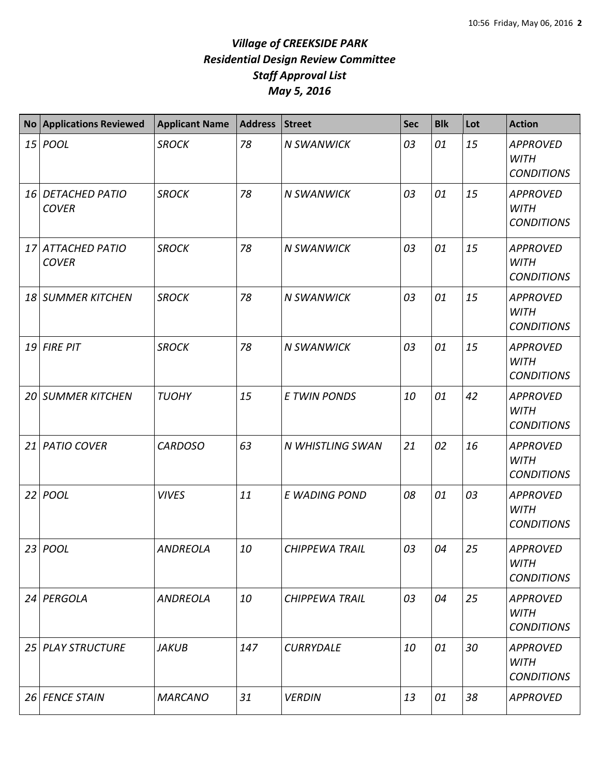| <b>No</b> | <b>Applications Reviewed</b>      | <b>Applicant Name</b> | <b>Address</b> | <b>Street</b>         | <b>Sec</b> | <b>Blk</b> | Lot | <b>Action</b>                                       |
|-----------|-----------------------------------|-----------------------|----------------|-----------------------|------------|------------|-----|-----------------------------------------------------|
|           | 15 <i>POOL</i>                    | <b>SROCK</b>          | 78             | <b>N SWANWICK</b>     | 03         | 01         | 15  | <b>APPROVED</b><br><b>WITH</b><br><b>CONDITIONS</b> |
|           | 16 DETACHED PATIO<br><b>COVER</b> | <b>SROCK</b>          | 78             | <b>N SWANWICK</b>     | 03         | 01         | 15  | <b>APPROVED</b><br><b>WITH</b><br><b>CONDITIONS</b> |
|           | 17 ATTACHED PATIO<br><b>COVER</b> | <b>SROCK</b>          | 78             | <b>N SWANWICK</b>     | 03         | 01         | 15  | <b>APPROVED</b><br><b>WITH</b><br><b>CONDITIONS</b> |
| 18        | <b>SUMMER KITCHEN</b>             | <b>SROCK</b>          | 78             | <b>N SWANWICK</b>     | 03         | 01         | 15  | <b>APPROVED</b><br><b>WITH</b><br><b>CONDITIONS</b> |
|           | 19 FIRE PIT                       | <b>SROCK</b>          | 78             | <b>N SWANWICK</b>     | 03         | 01         | 15  | <b>APPROVED</b><br><b>WITH</b><br><b>CONDITIONS</b> |
|           | <b>20 SUMMER KITCHEN</b>          | <b>TUOHY</b>          | 15             | <b>E TWIN PONDS</b>   | 10         | 01         | 42  | <b>APPROVED</b><br><b>WITH</b><br><b>CONDITIONS</b> |
| 21        | <b>PATIO COVER</b>                | <b>CARDOSO</b>        | 63             | N WHISTLING SWAN      | 21         | 02         | 16  | <b>APPROVED</b><br><b>WITH</b><br><b>CONDITIONS</b> |
| 22        | POOL                              | <b>VIVES</b>          | 11             | E WADING POND         | 08         | 01         | 03  | <b>APPROVED</b><br><b>WITH</b><br><b>CONDITIONS</b> |
|           | 23   POOL                         | <b>ANDREOLA</b>       | 10             | <b>CHIPPEWA TRAIL</b> | 03         | 04         | 25  | <b>APPROVED</b><br><b>WITH</b><br><b>CONDITIONS</b> |
|           | 24 PERGOLA                        | <b>ANDREOLA</b>       | 10             | <b>CHIPPEWA TRAIL</b> | 03         | 04         | 25  | <b>APPROVED</b><br><b>WITH</b><br><b>CONDITIONS</b> |
|           | 25 PLAY STRUCTURE                 | <b>JAKUB</b>          | 147            | <b>CURRYDALE</b>      | 10         | 01         | 30  | <b>APPROVED</b><br><b>WITH</b><br><b>CONDITIONS</b> |
|           | 26 FENCE STAIN                    | <b>MARCANO</b>        | 31             | <b>VERDIN</b>         | 13         | 01         | 38  | <b>APPROVED</b>                                     |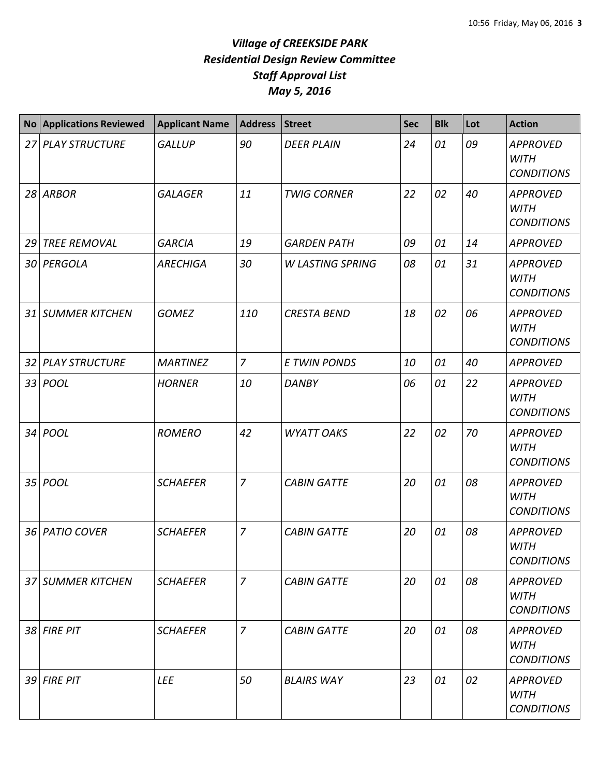|    | <b>No Applications Reviewed</b> | <b>Applicant Name</b> | <b>Address</b> | <b>Street</b>           | <b>Sec</b> | <b>Blk</b> | Lot | <b>Action</b>                                       |
|----|---------------------------------|-----------------------|----------------|-------------------------|------------|------------|-----|-----------------------------------------------------|
| 27 | <b>PLAY STRUCTURE</b>           | <b>GALLUP</b>         | 90             | <b>DEER PLAIN</b>       | 24         | 01         | 09  | <b>APPROVED</b><br><b>WITH</b><br><b>CONDITIONS</b> |
|    | $28$ ARBOR                      | <b>GALAGER</b>        | 11             | <b>TWIG CORNER</b>      | 22         | 02         | 40  | <b>APPROVED</b><br><b>WITH</b><br><b>CONDITIONS</b> |
|    | 29 TREE REMOVAL                 | <b>GARCIA</b>         | 19             | <b>GARDEN PATH</b>      | 09         | 01         | 14  | <b>APPROVED</b>                                     |
|    | 30 PERGOLA                      | <b>ARECHIGA</b>       | 30             | <b>W LASTING SPRING</b> | 08         | 01         | 31  | <b>APPROVED</b><br><b>WITH</b><br><b>CONDITIONS</b> |
|    | 31 SUMMER KITCHEN               | <b>GOMEZ</b>          | 110            | <b>CRESTA BEND</b>      | 18         | 02         | 06  | <b>APPROVED</b><br><b>WITH</b><br><b>CONDITIONS</b> |
| 32 | <b>PLAY STRUCTURE</b>           | <b>MARTINEZ</b>       | $\overline{7}$ | <b>E TWIN PONDS</b>     | 10         | 01         | 40  | <b>APPROVED</b>                                     |
|    | 33 <i>POOL</i>                  | <b>HORNER</b>         | 10             | <b>DANBY</b>            | 06         | 01         | 22  | <b>APPROVED</b><br><b>WITH</b><br><b>CONDITIONS</b> |
| 34 | POOL                            | <b>ROMERO</b>         | 42             | <b>WYATT OAKS</b>       | 22         | 02         | 70  | <b>APPROVED</b><br><b>WITH</b><br><b>CONDITIONS</b> |
| 35 | <b>POOL</b>                     | <b>SCHAEFER</b>       | $\overline{7}$ | <b>CABIN GATTE</b>      | 20         | 01         | 08  | <b>APPROVED</b><br><b>WITH</b><br><b>CONDITIONS</b> |
|    | 36 PATIO COVER                  | <b>SCHAEFER</b>       | $\overline{7}$ | <b>CABIN GATTE</b>      | 20         | 01         | 08  | <b>APPROVED</b><br><b>WITH</b><br><b>CONDITIONS</b> |
|    | 37 SUMMER KITCHEN               | <b>SCHAEFER</b>       | $\overline{7}$ | <b>CABIN GATTE</b>      | 20         | 01         | 08  | <b>APPROVED</b><br><b>WITH</b><br><b>CONDITIONS</b> |
|    | 38 FIRE PIT                     | <b>SCHAEFER</b>       | $\overline{7}$ | <b>CABIN GATTE</b>      | 20         | 01         | 08  | <b>APPROVED</b><br><b>WITH</b><br><b>CONDITIONS</b> |
|    | 39 FIRE PIT                     | LEE                   | 50             | <b>BLAIRS WAY</b>       | 23         | 01         | 02  | <b>APPROVED</b><br><b>WITH</b><br><b>CONDITIONS</b> |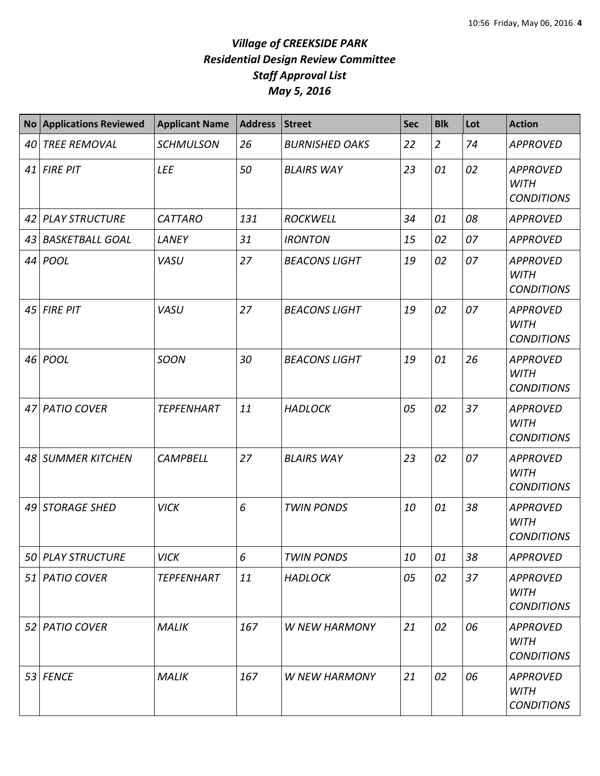|    | <b>No Applications Reviewed</b> | <b>Applicant Name</b> | <b>Address</b> | <b>Street</b>         | <b>Sec</b> | <b>Blk</b>     | Lot | <b>Action</b>                                       |
|----|---------------------------------|-----------------------|----------------|-----------------------|------------|----------------|-----|-----------------------------------------------------|
| 40 | TREE REMOVAL                    | <b>SCHMULSON</b>      | 26             | <b>BURNISHED OAKS</b> | 22         | $\overline{2}$ | 74  | <b>APPROVED</b>                                     |
|    | 41 FIRE PIT                     | <b>LEE</b>            | 50             | <b>BLAIRS WAY</b>     | 23         | 01             | 02  | <b>APPROVED</b><br><b>WITH</b><br><b>CONDITIONS</b> |
|    | 42 PLAY STRUCTURE               | <b>CATTARO</b>        | 131            | <b>ROCKWELL</b>       | 34         | 01             | 08  | <b>APPROVED</b>                                     |
|    | 43 BASKETBALL GOAL              | LANEY                 | 31             | <b>IRONTON</b>        | 15         | 02             | 07  | <b>APPROVED</b>                                     |
|    | 44 <i>POOL</i>                  | VASU                  | 27             | <b>BEACONS LIGHT</b>  | 19         | 02             | 07  | <b>APPROVED</b><br><b>WITH</b><br><b>CONDITIONS</b> |
|    | $45$ FIRE PIT                   | VASU                  | 27             | <b>BEACONS LIGHT</b>  | 19         | 02             | 07  | <b>APPROVED</b><br><b>WITH</b><br><b>CONDITIONS</b> |
|    | 46 POOL                         | <b>SOON</b>           | 30             | <b>BEACONS LIGHT</b>  | 19         | 01             | 26  | <b>APPROVED</b><br><b>WITH</b><br><b>CONDITIONS</b> |
|    | 47 PATIO COVER                  | <b>TEPFENHART</b>     | 11             | <b>HADLOCK</b>        | 05         | 02             | 37  | <b>APPROVED</b><br><b>WITH</b><br><b>CONDITIONS</b> |
|    | 48 SUMMER KITCHEN               | <b>CAMPBELL</b>       | 27             | <b>BLAIRS WAY</b>     | 23         | 02             | 07  | <b>APPROVED</b><br><b>WITH</b><br><b>CONDITIONS</b> |
|    | 49 STORAGE SHED                 | <b>VICK</b>           | 6              | <b>TWIN PONDS</b>     | 10         | 01             | 38  | <b>APPROVED</b><br><b>WITH</b><br><b>CONDITIONS</b> |
|    | 50 PLAY STRUCTURE               | <b>VICK</b>           | 6              | <b>TWIN PONDS</b>     | 10         | 01             | 38  | <b>APPROVED</b>                                     |
|    | 51 PATIO COVER                  | <b>TEPFENHART</b>     | 11             | <b>HADLOCK</b>        | 05         | 02             | 37  | <b>APPROVED</b><br><b>WITH</b><br><b>CONDITIONS</b> |
|    | 52 PATIO COVER                  | <b>MALIK</b>          | 167            | <b>W NEW HARMONY</b>  | 21         | 02             | 06  | <b>APPROVED</b><br><b>WITH</b><br><b>CONDITIONS</b> |
|    | 53 FENCE                        | <b>MALIK</b>          | 167            | <b>W NEW HARMONY</b>  | 21         | 02             | 06  | <b>APPROVED</b><br><b>WITH</b><br><b>CONDITIONS</b> |